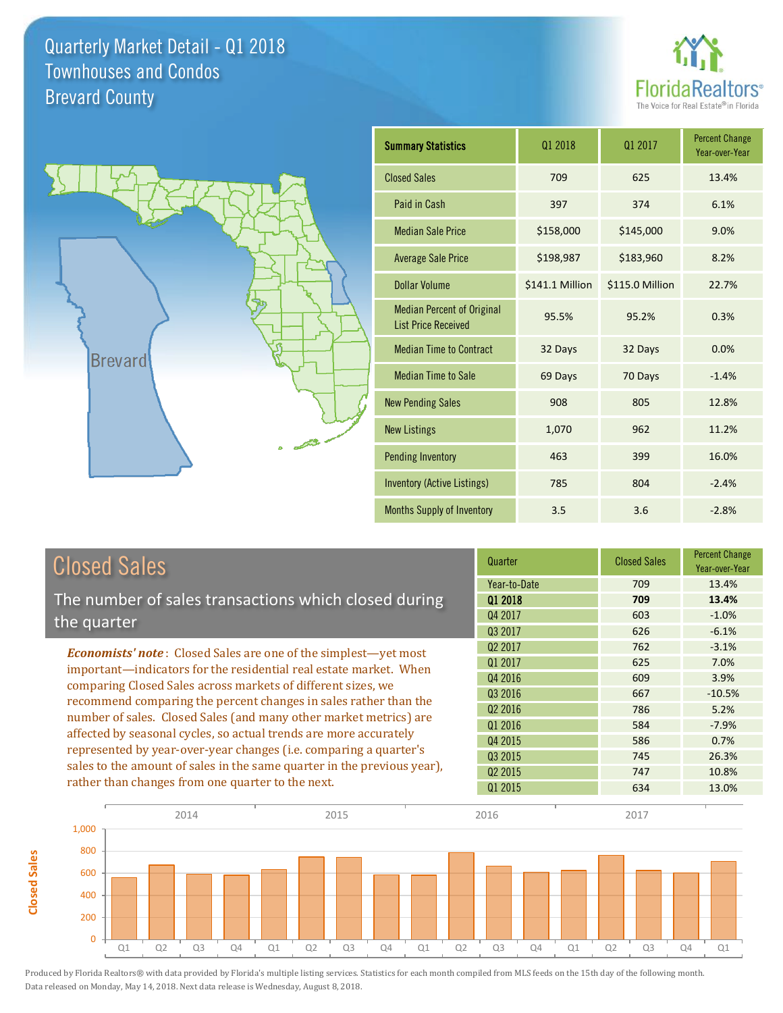



**Closed Sales**

**Closed Sales** 

| <b>Summary Statistics</b>                                       | 01 2018         | 01 2017         | <b>Percent Change</b><br>Year-over-Year |
|-----------------------------------------------------------------|-----------------|-----------------|-----------------------------------------|
| <b>Closed Sales</b>                                             | 709             | 625             | 13.4%                                   |
| Paid in Cash                                                    | 397             | 374             | 6.1%                                    |
| <b>Median Sale Price</b>                                        | \$158,000       | \$145,000       | 9.0%                                    |
| <b>Average Sale Price</b>                                       | \$198,987       | \$183,960       | 8.2%                                    |
| Dollar Volume                                                   | \$141.1 Million | \$115.0 Million | 22.7%                                   |
| <b>Median Percent of Original</b><br><b>List Price Received</b> | 95.5%           | 95.2%           | 0.3%                                    |
| <b>Median Time to Contract</b>                                  | 32 Days         | 32 Days         | 0.0%                                    |
| <b>Median Time to Sale</b>                                      | 69 Days         | 70 Days         | $-1.4%$                                 |
| <b>New Pending Sales</b>                                        | 908             | 805             | 12.8%                                   |
| <b>New Listings</b>                                             | 1,070           | 962             | 11.2%                                   |
| <b>Pending Inventory</b>                                        | 463             | 399             | 16.0%                                   |
| <b>Inventory (Active Listings)</b>                              | 785             | 804             | $-2.4%$                                 |
| <b>Months Supply of Inventory</b>                               | 3.5             | 3.6             | $-2.8%$                                 |

| <b>Closed Sales</b>                                                     | Quarter             | <b>Closed Sales</b> | <b>Percent Change</b><br>Year-over-Year |
|-------------------------------------------------------------------------|---------------------|---------------------|-----------------------------------------|
|                                                                         | Year-to-Date        | 709                 | 13.4%                                   |
| The number of sales transactions which closed during                    | 01 2018             | 709                 | 13.4%                                   |
| the quarter                                                             | Q4 2017             | 603                 | $-1.0%$                                 |
|                                                                         | Q3 2017             | 626                 | $-6.1%$                                 |
| <b>Economists' note:</b> Closed Sales are one of the simplest—yet most  | Q <sub>2</sub> 2017 | 762                 | $-3.1%$                                 |
| important—indicators for the residential real estate market. When       | Q1 2017             | 625                 | 7.0%                                    |
| comparing Closed Sales across markets of different sizes, we            | Q4 2016             | 609                 | 3.9%                                    |
| recommend comparing the percent changes in sales rather than the        | Q3 2016             | 667                 | $-10.5%$                                |
| number of sales. Closed Sales (and many other market metrics) are       | Q <sub>2</sub> 2016 | 786                 | 5.2%                                    |
|                                                                         | Q1 2016             | 584                 | $-7.9%$                                 |
| affected by seasonal cycles, so actual trends are more accurately       | Q4 2015             | 586                 | 0.7%                                    |
| represented by year-over-year changes (i.e. comparing a quarter's       | Q3 2015             | 745                 | 26.3%                                   |
| sales to the amount of sales in the same quarter in the previous year), | Q <sub>2</sub> 2015 | 747                 | 10.8%                                   |
| rather than changes from one quarter to the next.                       | Q1 2015             | 634                 | 13.0%                                   |

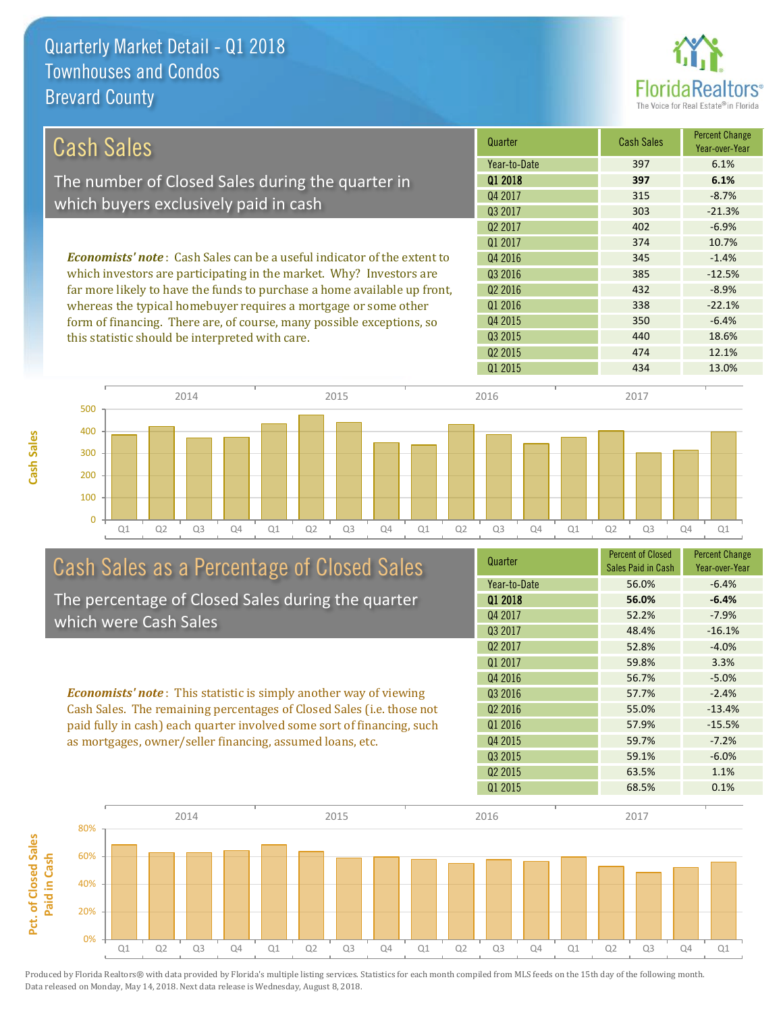

| Cash Sales                                                                     | Quarter             | <b>Cash Sales</b> | <b>Percent Change</b><br>Year-over-Year |
|--------------------------------------------------------------------------------|---------------------|-------------------|-----------------------------------------|
|                                                                                | Year-to-Date        | 397               | 6.1%                                    |
| The number of Closed Sales during the quarter in                               | 01 2018             | 397               | 6.1%                                    |
|                                                                                | Q4 2017             | 315               | $-8.7%$                                 |
| which buyers exclusively paid in cash                                          | 03 2017             | 303               | $-21.3%$                                |
|                                                                                | Q <sub>2</sub> 2017 | 402               | $-6.9%$                                 |
|                                                                                | 01 2017             | 374               | 10.7%                                   |
| <b>Economists' note:</b> Cash Sales can be a useful indicator of the extent to | Q4 2016             | 345               | $-1.4%$                                 |
| which investors are participating in the market. Why? Investors are            | Q3 2016             | 385               | $-12.5%$                                |
| far more likely to have the funds to purchase a home available up front,       | Q <sub>2</sub> 2016 | 432               | $-8.9%$                                 |
| whereas the typical homebuyer requires a mortgage or some other                | Q1 2016             | 338               | $-22.1%$                                |
| form of financing. There are, of course, many possible exceptions, so          | Q4 2015             | 350               | $-6.4%$                                 |
| this statistic should be interpreted with care.                                | 03 2015             | 440               | 18.6%                                   |



# Cash Sales as a Percentage of Closed Sales

The percentage of Closed Sales during the quarter which were Cash Sales

*Economists' note* : This statistic is simply another way of viewing Cash Sales. The remaining percentages of Closed Sales (i.e. those not paid fully in cash) each quarter involved some sort of financing, such as mortgages, owner/seller financing, assumed loans, etc.



Q2 2015 474 474 12.1%

Q1 2015 434 434 13.0%

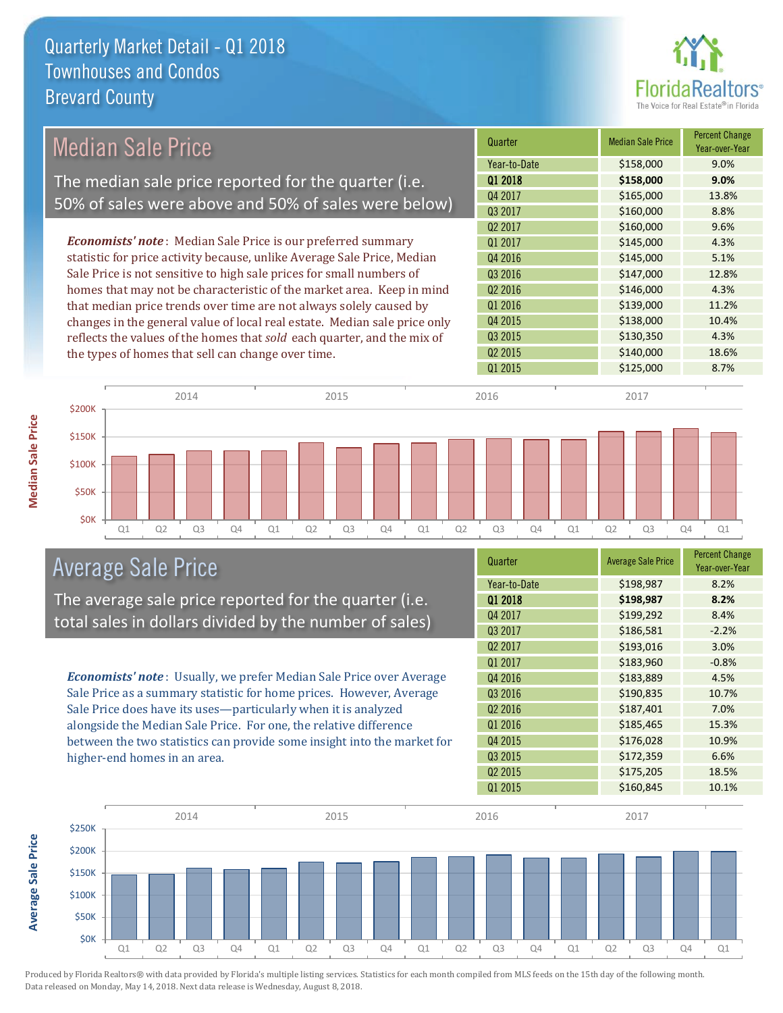

| Year-to-Date<br>01 2018<br>Q4 2017<br>Q3 2017 | \$158,000<br>\$158,000<br>\$165,000 | 9.0%<br>9.0% |
|-----------------------------------------------|-------------------------------------|--------------|
|                                               |                                     |              |
|                                               |                                     | 13.8%        |
|                                               | \$160,000                           | 8.8%         |
| Q2 2017                                       | \$160,000                           | 9.6%         |
| Q1 2017                                       | \$145,000                           | 4.3%         |
| Q4 2016                                       | \$145,000                           | 5.1%         |
| Q3 2016                                       | \$147,000                           | 12.8%        |
| Q2 2016                                       | \$146,000                           | 4.3%         |
| Q1 2016                                       | \$139,000                           | 11.2%        |
| Q4 2015                                       | \$138,000                           | 10.4%        |
| Q3 2015                                       | \$130,350                           | 4.3%         |
| Q2 2015                                       | \$140,000                           | 18.6%        |
| Q1 2015                                       | \$125,000                           | 8.7%         |
| 2016                                          | 2017                                |              |
|                                               |                                     |              |
|                                               |                                     |              |

Q1 Q2 Q3 Q4 Q1 Q2 Q3 Q4 Q1 Q2 Q3 Q4 Q1 Q2 Q3 Q4 Q1

# Average Sale Price

\$0K

The average sale price reported for the quarter (i.e. total sales in dollars divided by the number of sales)

*Economists' note* : Usually, we prefer Median Sale Price over Average Sale Price as a summary statistic for home prices. However, Average Sale Price does have its uses—particularly when it is analyzed alongside the Median Sale Price. For one, the relative difference between the two statistics can provide some insight into the market for higher-end homes in an area.

| Quarter             | <b>Average Sale Price</b> | <b>Percent Change</b><br>Year-over-Year |
|---------------------|---------------------------|-----------------------------------------|
| Year-to-Date        | \$198,987                 | 8.2%                                    |
| 01 2018             | \$198,987                 | 8.2%                                    |
| Q4 2017             | \$199,292                 | 8.4%                                    |
| Q3 2017             | \$186,581                 | $-2.2%$                                 |
| Q <sub>2</sub> 2017 | \$193,016                 | 3.0%                                    |
| Q1 2017             | \$183,960                 | $-0.8%$                                 |
| Q4 2016             | \$183,889                 | 4.5%                                    |
| Q3 2016             | \$190,835                 | 10.7%                                   |
| Q <sub>2</sub> 2016 | \$187,401                 | 7.0%                                    |
| Q1 2016             | \$185,465                 | 15.3%                                   |
| Q4 2015             | \$176,028                 | 10.9%                                   |
| Q3 2015             | \$172,359                 | 6.6%                                    |
| Q <sub>2</sub> 2015 | \$175,205                 | 18.5%                                   |
| Q1 2015             | \$160,845                 | 10.1%                                   |



Produced by Florida Realtors® with data provided by Florida's multiple listing services. Statistics for each month compiled from MLS feeds on the 15th day of the following month. Data released on Monday, May 14, 2018. Next data release is Wednesday, August 8, 2018.

**Average Sale Price**

**Average Sale Price**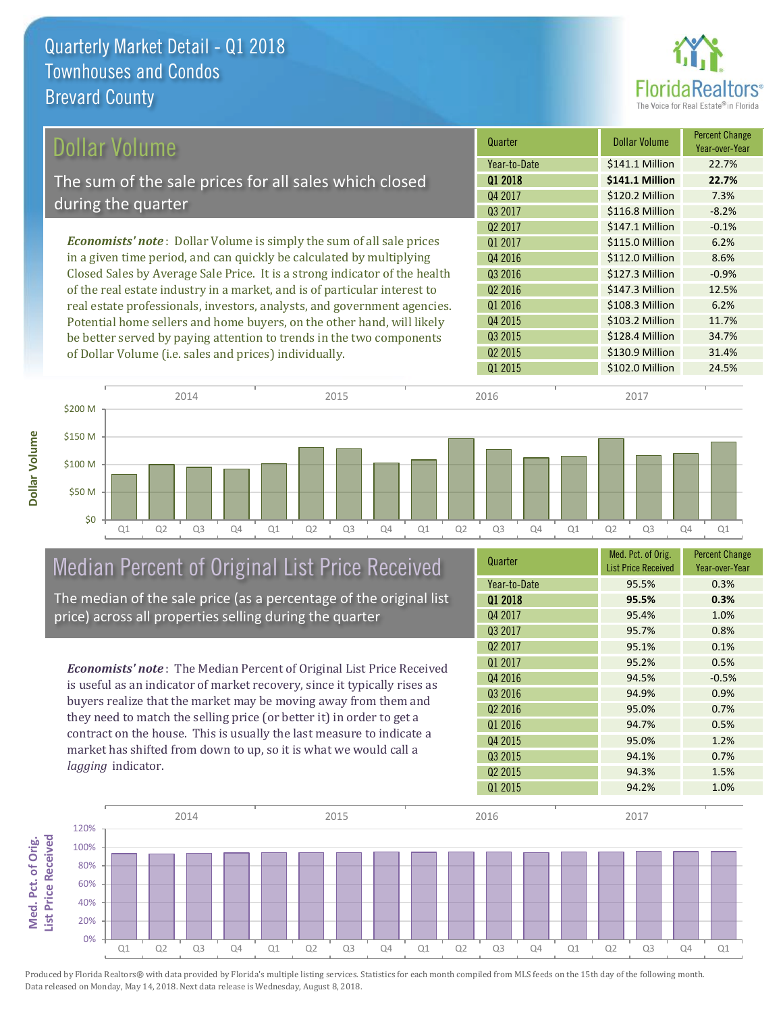

| Dollar Volume                                                                | Quarter             | Dollar Volume   | <b>Percent Change</b><br>Year-over-Year |
|------------------------------------------------------------------------------|---------------------|-----------------|-----------------------------------------|
|                                                                              | Year-to-Date        | \$141.1 Million | 22.7%                                   |
| The sum of the sale prices for all sales which closed                        | 01 2018             | \$141.1 Million | 22.7%                                   |
| during the quarter                                                           | Q4 2017             | \$120.2 Million | 7.3%                                    |
|                                                                              | 03 2017             | \$116.8 Million | $-8.2%$                                 |
|                                                                              | Q <sub>2</sub> 2017 | \$147.1 Million | $-0.1%$                                 |
| <b>Economists' note</b> : Dollar Volume is simply the sum of all sale prices | 01 2017             | \$115.0 Million | 6.2%                                    |
| in a given time period, and can quickly be calculated by multiplying         | Q4 2016             | \$112.0 Million | 8.6%                                    |
| Closed Sales by Average Sale Price. It is a strong indicator of the health   | Q3 2016             | \$127.3 Million | $-0.9%$                                 |
| of the real estate industry in a market, and is of particular interest to    | Q <sub>2</sub> 2016 | \$147.3 Million | 12.5%                                   |
| real estate professionals, investors, analysts, and government agencies.     | Q1 2016             | \$108.3 Million | 6.2%                                    |
| Potential home sellers and home buyers, on the other hand, will likely       | Q4 2015             | \$103.2 Million | 11.7%                                   |
| be better served by paying attention to trends in the two components         | Q3 2015             | \$128.4 Million | 34.7%                                   |

\$50 M \$100 M \$150 M \$200 M



# Median Percent of Original List Price Received

of Dollar Volume (i.e. sales and prices) individually.

The median of the sale price (as a percentage of the original list price) across all properties selling during the quarter

*Economists' note* : The Median Percent of Original List Price Received is useful as an indicator of market recovery, since it typically rises as buyers realize that the market may be moving away from them and they need to match the selling price (or better it) in order to get a contract on the house. This is usually the last measure to indicate a market has shifted from down to up, so it is what we would call a *lagging* indicator.

| Quarter             | Med. Pct. of Orig.<br><b>List Price Received</b> | <b>Percent Change</b><br>Year-over-Year |
|---------------------|--------------------------------------------------|-----------------------------------------|
| Year-to-Date        | 95.5%                                            | 0.3%                                    |
| 01 2018             | 95.5%                                            | 0.3%                                    |
| Q4 2017             | 95.4%                                            | 1.0%                                    |
| Q3 2017             | 95.7%                                            | 0.8%                                    |
| Q <sub>2</sub> 2017 | 95.1%                                            | 0.1%                                    |
| Q1 2017             | 95.2%                                            | 0.5%                                    |
| Q4 2016             | 94.5%                                            | $-0.5%$                                 |
| Q3 2016             | 94.9%                                            | 0.9%                                    |
| Q <sub>2</sub> 2016 | 95.0%                                            | 0.7%                                    |
| Q1 2016             | 94.7%                                            | 0.5%                                    |
| Q4 2015             | 95.0%                                            | 1.2%                                    |
| Q3 2015             | 94.1%                                            | 0.7%                                    |
| Q <sub>2</sub> 2015 | 94.3%                                            | 1.5%                                    |
| Q1 2015             | 94.2%                                            | 1.0%                                    |

Q2 2015 **\$130.9 Million 31.4%** 

Q1 2015 **\$102.0 Million** 24.5%



Produced by Florida Realtors® with data provided by Florida's multiple listing services. Statistics for each month compiled from MLS feeds on the 15th day of the following month. Data released on Monday, May 14, 2018. Next data release is Wednesday, August 8, 2018.

**Med. Pct. of Orig.** 

Med. Pct. of Orig.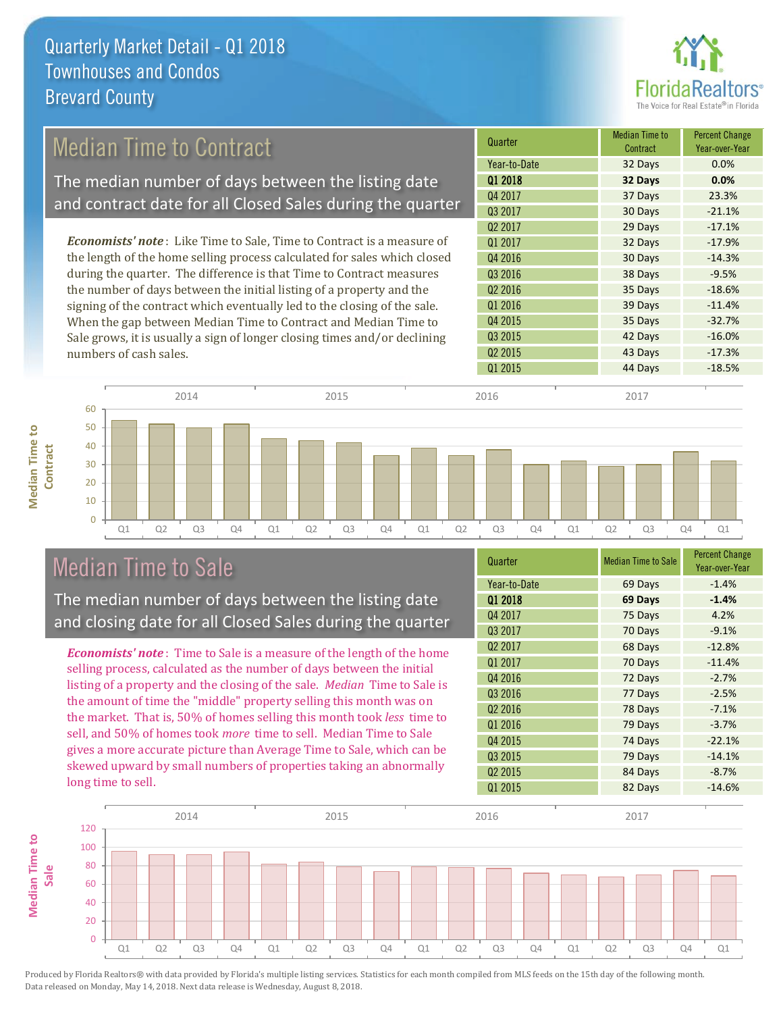

# Median Time to Contract

The median number of days between the listing date and contract date for all Closed Sales during the quarter

*Economists' note* : Like Time to Sale, Time to Contract is a measure of the length of the home selling process calculated for sales which closed during the quarter. The difference is that Time to Contract measures the number of days between the initial listing of a property and the signing of the contract which eventually led to the closing of the sale. When the gap between Median Time to Contract and Median Time to Sale grows, it is usually a sign of longer closing times and/or declining numbers of cash sales.



#### Q1 Q2 Q3 Q4 Q1 Q2 Q3 Q4 Q1 Q2 Q3 Q4 Q1 Q2 Q3 Q4 Q1  $\Omega$ 10 20 30 40 50 60 **Contract** 2014 2015 2016 2017

## Median Time to Sale

**Median Time to** 

**Median Time to** 

The median number of days between the listing date and closing date for all Closed Sales during the quarter

*Economists' note* : Time to Sale is a measure of the length of the home selling process, calculated as the number of days between the initial listing of a property and the closing of the sale. *Median* Time to Sale is the amount of time the "middle" property selling this month was on the market. That is, 50% of homes selling this month took *less* time to sell, and 50% of homes took *more* time to sell. Median Time to Sale gives a more accurate picture than Average Time to Sale, which can be skewed upward by small numbers of properties taking an abnormally long time to sell.

| Quarter             | <b>Median Time to Sale</b> | <b>Percent Change</b><br>Year-over-Year |
|---------------------|----------------------------|-----------------------------------------|
| Year-to-Date        | 69 Days                    | $-1.4%$                                 |
| Q1 2018             | 69 Days                    | $-1.4%$                                 |
| Q4 2017             | 75 Days                    | 4.2%                                    |
| Q3 2017             | 70 Days                    | $-9.1%$                                 |
| Q <sub>2</sub> 2017 | 68 Days                    | $-12.8%$                                |
| Q1 2017             | 70 Days                    | $-11.4%$                                |
| Q4 2016             | 72 Days                    | $-2.7%$                                 |
| Q3 2016             | 77 Days                    | $-2.5%$                                 |
| Q <sub>2</sub> 2016 | 78 Days                    | $-7.1%$                                 |
| Q1 2016             | 79 Days                    | $-3.7%$                                 |
| Q4 2015             | 74 Days                    | $-22.1%$                                |
| Q3 2015             | 79 Days                    | $-14.1%$                                |
| Q <sub>2</sub> 2015 | 84 Days                    | $-8.7%$                                 |
| Q1 2015             | 82 Days                    | $-14.6%$                                |

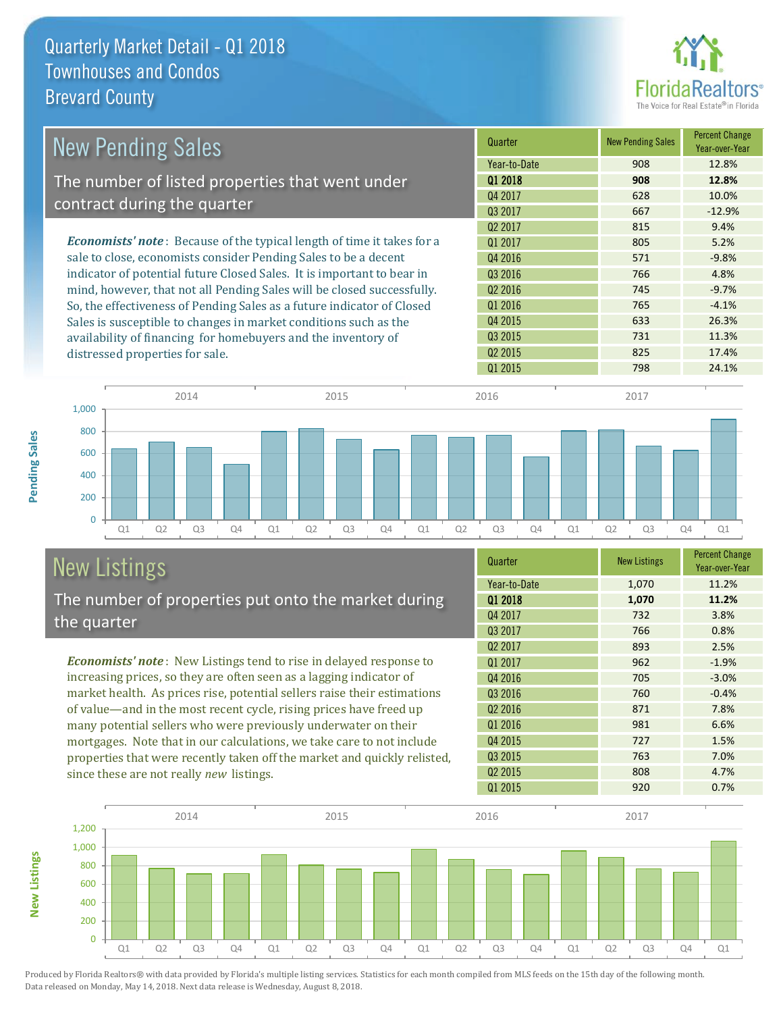

| <b>New Pending Sales</b>                                                       | Quarter             | <b>New Pending Sales</b> | <b>Percent Change</b><br>Year-over-Year |
|--------------------------------------------------------------------------------|---------------------|--------------------------|-----------------------------------------|
|                                                                                | Year-to-Date        | 908                      | 12.8%                                   |
| The number of listed properties that went under                                | 01 2018             | 908                      | 12.8%                                   |
|                                                                                | Q4 2017             | 628                      | 10.0%                                   |
| contract during the quarter                                                    | Q3 2017             | 667                      | $-12.9%$                                |
|                                                                                | Q <sub>2</sub> 2017 | 815                      | 9.4%                                    |
| <b>Economists' note</b> : Because of the typical length of time it takes for a | 01 2017             | 805                      | 5.2%                                    |
| sale to close, economists consider Pending Sales to be a decent                | Q4 2016             | 571                      | $-9.8%$                                 |
| indicator of potential future Closed Sales. It is important to bear in         | Q3 2016             | 766                      | 4.8%                                    |
| mind, however, that not all Pending Sales will be closed successfully.         | Q <sub>2</sub> 2016 | 745                      | $-9.7%$                                 |
| So, the effectiveness of Pending Sales as a future indicator of Closed         | Q1 2016             | 765                      | $-4.1%$                                 |
| Sales is susceptible to changes in market conditions such as the               | Q4 2015             | 633                      | 26.3%                                   |
| availability of financing for homebuyers and the inventory of                  | Q3 2015             | 731                      | 11.3%                                   |
| distressed properties for sale.                                                | Q <sub>2</sub> 2015 | 825                      | 17.4%                                   |
|                                                                                | 01 2015             | 798                      | 24.1%                                   |



# New Listings

**New Listings**

**Pending Sales**

**Pending Sales** 

The number of properties put onto the market during the quarter

*Economists' note* : New Listings tend to rise in delayed response to increasing prices, so they are often seen as a lagging indicator of market health. As prices rise, potential sellers raise their estimations of value—and in the most recent cycle, rising prices have freed up many potential sellers who were previously underwater on their mortgages. Note that in our calculations, we take care to not include properties that were recently taken off the market and quickly relisted, since these are not really *new* listings.

| Quarter             | <b>New Listings</b> | <b>Percent Change</b><br>Year-over-Year |
|---------------------|---------------------|-----------------------------------------|
| Year-to-Date        | 1,070               | 11.2%                                   |
| Q1 2018             | 1,070               | 11.2%                                   |
| Q4 2017             | 732                 | 3.8%                                    |
| Q3 2017             | 766                 | 0.8%                                    |
| Q <sub>2</sub> 2017 | 893                 | 2.5%                                    |
| Q1 2017             | 962                 | $-1.9%$                                 |
| Q4 2016             | 705                 | $-3.0%$                                 |
| Q3 2016             | 760                 | $-0.4%$                                 |
| Q <sub>2</sub> 2016 | 871                 | 7.8%                                    |
| Q1 2016             | 981                 | 6.6%                                    |
| Q4 2015             | 727                 | 1.5%                                    |
| Q3 2015             | 763                 | 7.0%                                    |
| Q <sub>2</sub> 2015 | 808                 | 4.7%                                    |
| Q1 2015             | 920                 | 0.7%                                    |

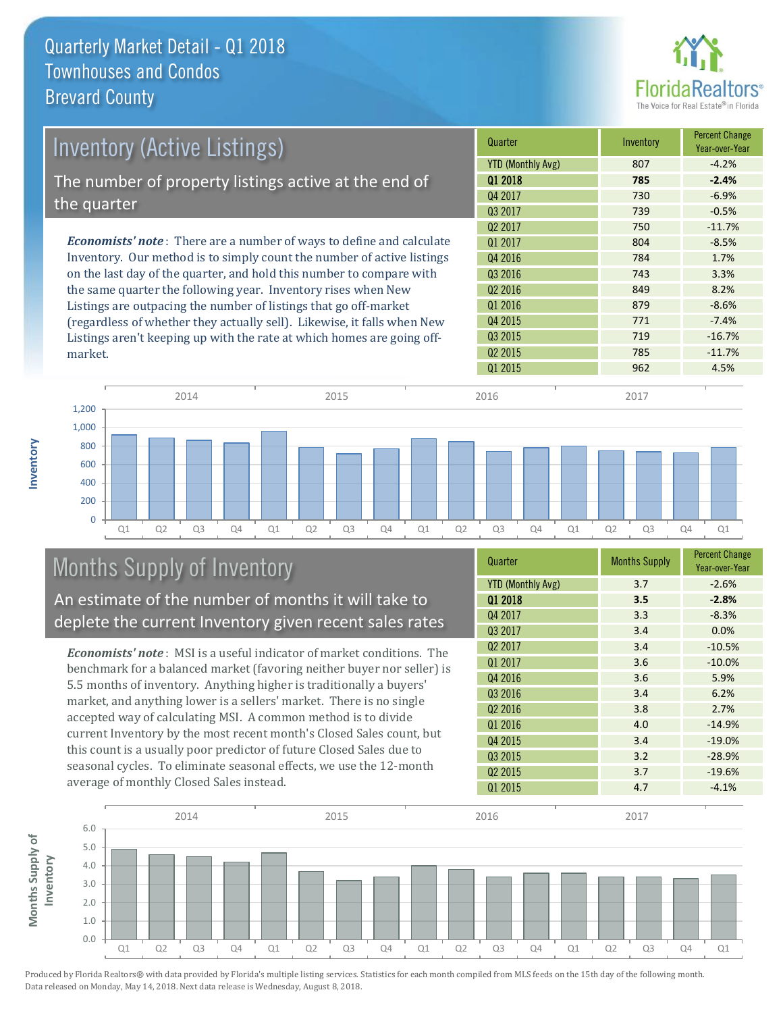

| <b>Inventory (Active Listings)</b>                                           | Quarter             | Inventory | <b>Percent Change</b><br>Year-over-Year |
|------------------------------------------------------------------------------|---------------------|-----------|-----------------------------------------|
|                                                                              | YTD (Monthly Avg)   | 807       | $-4.2%$                                 |
| The number of property listings active at the end of                         | 01 2018             | 785       | $-2.4%$                                 |
|                                                                              | Q4 2017             | 730       | $-6.9%$                                 |
| the quarter                                                                  | 03 2017             | 739       | $-0.5%$                                 |
|                                                                              | Q <sub>2</sub> 2017 | 750       | $-11.7%$                                |
| <b>Economists' note</b> : There are a number of ways to define and calculate | 01 2017             | 804       | $-8.5%$                                 |
| Inventory. Our method is to simply count the number of active listings       | Q4 2016             | 784       | 1.7%                                    |
| on the last day of the quarter, and hold this number to compare with         | Q3 2016             | 743       | 3.3%                                    |
| the same quarter the following year. Inventory rises when New                | Q <sub>2</sub> 2016 | 849       | 8.2%                                    |
| Listings are outpacing the number of listings that go off-market             | Q1 2016             | 879       | $-8.6%$                                 |
| (regardless of whether they actually sell) Likewise it falls when New        | Q4 2015             | 771       | $-7.4%$                                 |

(regardless of whether they actually sell). Likewise, it falls when New Listings aren't keeping up with the rate at which homes are going offmarket.



# Months Supply of Inventory

An estimate of the number of months it will take to deplete the current Inventory given recent sales rates

*Economists' note* : MSI is a useful indicator of market conditions. The benchmark for a balanced market (favoring neither buyer nor seller) is 5.5 months of inventory. Anything higher is traditionally a buyers' market, and anything lower is a sellers' market. There is no single accepted way of calculating MSI. A common method is to divide current Inventory by the most recent month's Closed Sales count, but this count is a usually poor predictor of future Closed Sales due to seasonal cycles. To eliminate seasonal effects, we use the 12-month average of monthly Closed Sales instead.

| Quarter                  | <b>Months Supply</b> | <b>Percent Change</b><br>Year-over-Year |
|--------------------------|----------------------|-----------------------------------------|
| <b>YTD (Monthly Avg)</b> | 3.7                  | $-2.6%$                                 |
| 01 2018                  | 3.5                  | $-2.8%$                                 |
| Q4 2017                  | 3.3                  | $-8.3%$                                 |
| Q3 2017                  | 3.4                  | 0.0%                                    |
| Q <sub>2</sub> 2017      | 3.4                  | $-10.5%$                                |
| Q1 2017                  | 3.6                  | $-10.0%$                                |
| Q4 2016                  | 3.6                  | 5.9%                                    |
| Q3 2016                  | 3.4                  | 6.2%                                    |
| Q <sub>2</sub> 2016      | 3.8                  | 2.7%                                    |
| Q1 2016                  | 4.0                  | $-14.9%$                                |
| Q4 2015                  | 3.4                  | $-19.0%$                                |
| Q3 2015                  | 3.2                  | $-28.9%$                                |
| Q <sub>2</sub> 2015      | 3.7                  | $-19.6%$                                |
| Q1 2015                  | 4.7                  | $-4.1%$                                 |

Q3 2015 719 719 -16.7% Q2 2015 **785** -11.7%

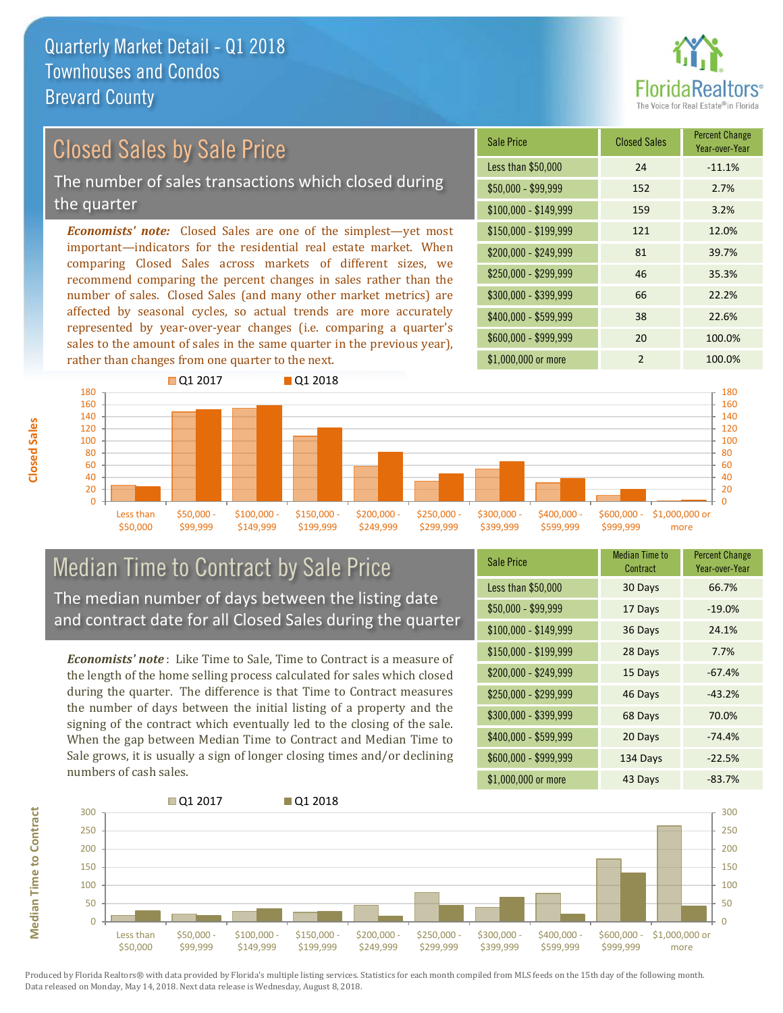

# Closed Sales by Sale Price

The number of sales transactions which closed during the quarter

*Economists' note:* Closed Sales are one of the simplest—yet most important—indicators for the residential real estate market. When comparing Closed Sales across markets of different sizes, we recommend comparing the percent changes in sales rather than the number of sales. Closed Sales (and many other market metrics) are affected by seasonal cycles, so actual trends are more accurately represented by year-over-year changes (i.e. comparing a quarter's sales to the amount of sales in the same quarter in the previous year), rather than changes from one quarter to the next.

| Sale Price            | <b>Closed Sales</b> | <b>Percent Change</b><br>Year-over-Year |
|-----------------------|---------------------|-----------------------------------------|
| Less than \$50,000    | 24                  | $-11.1%$                                |
| \$50,000 - \$99,999   | 152                 | 2.7%                                    |
| $$100,000 - $149,999$ | 159                 | 3.2%                                    |
| $$150,000 - $199,999$ | 121                 | 12.0%                                   |
| \$200,000 - \$249,999 | 81                  | 39.7%                                   |
| \$250,000 - \$299,999 | 46                  | 35.3%                                   |
| \$300,000 - \$399,999 | 66                  | 22.2%                                   |
| $$400,000 - $599,999$ | 38                  | 22.6%                                   |
| \$600,000 - \$999,999 | 20                  | 100.0%                                  |
| \$1,000,000 or more   | $\mathfrak{p}$      | 100.0%                                  |



#### Median Time to Contract by Sale Price The median number of days between the listing date and contract date for all Closed Sales during the quarter

*Economists' note* : Like Time to Sale, Time to Contract is a measure of the length of the home selling process calculated for sales which closed during the quarter. The difference is that Time to Contract measures the number of days between the initial listing of a property and the signing of the contract which eventually led to the closing of the sale. When the gap between Median Time to Contract and Median Time to Sale grows, it is usually a sign of longer closing times and/or declining numbers of cash sales.

| <b>Sale Price</b>     | <b>Median Time to</b><br>Contract | <b>Percent Change</b><br>Year-over-Year |
|-----------------------|-----------------------------------|-----------------------------------------|
| Less than \$50,000    | 30 Days                           | 66.7%                                   |
| $$50,000 - $99,999$   | 17 Days                           | $-19.0%$                                |
| $$100,000 - $149,999$ | 36 Days                           | 24.1%                                   |
| $$150,000 - $199,999$ | 28 Days                           | 7.7%                                    |
| \$200,000 - \$249,999 | 15 Days                           | $-67.4%$                                |
| \$250,000 - \$299,999 | 46 Days                           | $-43.2%$                                |
| \$300,000 - \$399,999 | 68 Days                           | 70.0%                                   |
| \$400,000 - \$599,999 | 20 Days                           | $-74.4%$                                |
| \$600,000 - \$999,999 | 134 Days                          | $-22.5%$                                |
| \$1,000,000 or more   | 43 Days                           | $-83.7%$                                |

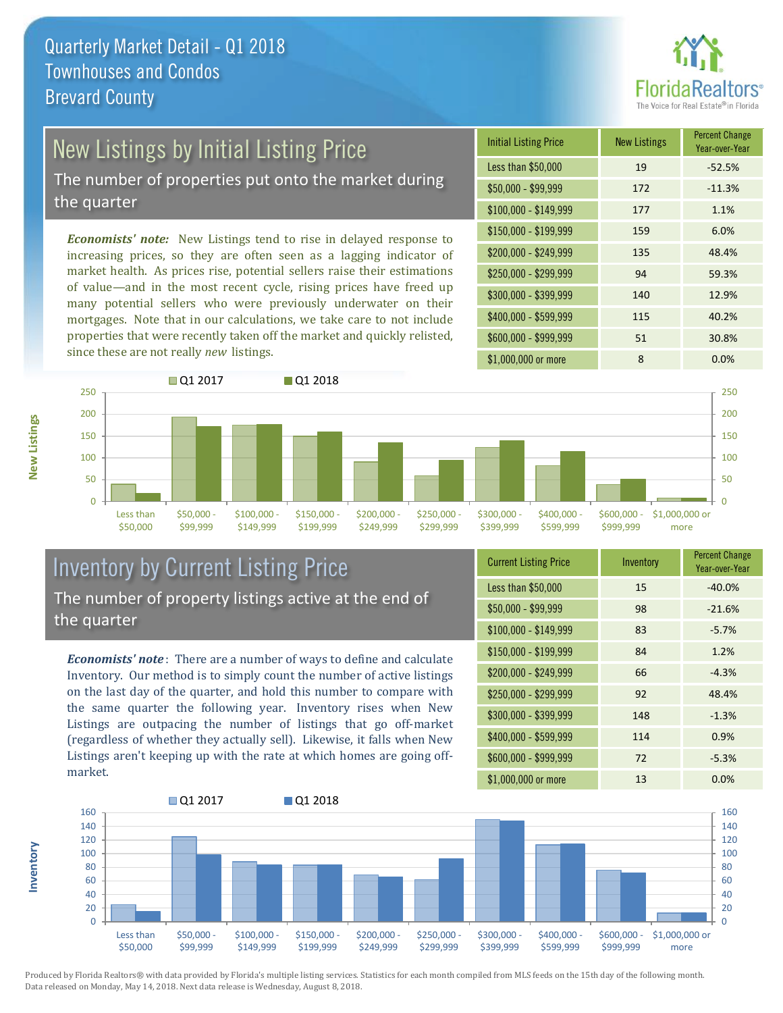

# New Listings by Initial Listing Price

The number of properties put onto the market during the quarter

*Economists' note:* New Listings tend to rise in delayed response to increasing prices, so they are often seen as a lagging indicator of market health. As prices rise, potential sellers raise their estimations of value—and in the most recent cycle, rising prices have freed up many potential sellers who were previously underwater on their mortgages. Note that in our calculations, we take care to not include properties that were recently taken off the market and quickly relisted, since these are not really *new* listings.

| <b>Initial Listing Price</b> | <b>New Listings</b> | <b>Percent Change</b><br>Year-over-Year |
|------------------------------|---------------------|-----------------------------------------|
| Less than \$50,000           | 19                  | $-52.5%$                                |
| \$50,000 - \$99,999          | 172                 | $-11.3%$                                |
| $$100,000 - $149,999$        | 177                 | 1.1%                                    |
| $$150,000 - $199,999$        | 159                 | 6.0%                                    |
| \$200,000 - \$249,999        | 135                 | 48.4%                                   |
| \$250,000 - \$299,999        | 94                  | 59.3%                                   |
| \$300,000 - \$399,999        | 140                 | 12.9%                                   |
| \$400,000 - \$599,999        | 115                 | 40.2%                                   |
| \$600,000 - \$999,999        | 51                  | 30.8%                                   |
| \$1,000,000 or more          | 8                   | 0.0%                                    |



### Inventory by Current Listing Price The number of property listings active at the end of the quarter

*Economists' note* : There are a number of ways to define and calculate Inventory. Our method is to simply count the number of active listings on the last day of the quarter, and hold this number to compare with the same quarter the following year. Inventory rises when New Listings are outpacing the number of listings that go off-market (regardless of whether they actually sell). Likewise, it falls when New Listings aren't keeping up with the rate at which homes are going offmarket.

| <b>Current Listing Price</b> | Inventory | <b>Percent Change</b><br>Year-over-Year |
|------------------------------|-----------|-----------------------------------------|
| Less than \$50,000           | 15        | $-40.0%$                                |
| $$50,000 - $99,999$          | 98        | $-21.6%$                                |
| $$100,000 - $149,999$        | 83        | $-5.7%$                                 |
| $$150,000 - $199,999$        | 84        | 1.2%                                    |
| \$200,000 - \$249,999        | 66        | $-4.3%$                                 |
| \$250,000 - \$299,999        | 92        | 48.4%                                   |
| \$300,000 - \$399,999        | 148       | $-1.3%$                                 |
| \$400,000 - \$599,999        | 114       | 0.9%                                    |
| \$600,000 - \$999,999        | 72        | $-5.3%$                                 |
| \$1,000,000 or more          | 13        | 0.0%                                    |



Produced by Florida Realtors® with data provided by Florida's multiple listing services. Statistics for each month compiled from MLS feeds on the 15th day of the following month. Data released on Monday, May 14, 2018. Next data release is Wednesday, August 8, 2018.

**Inventory**